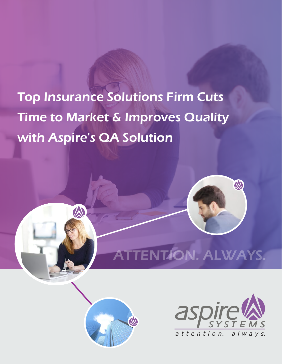# Top Insurance Solutions Firm Cuts Time to Market & Improves Quality with Aspire's QA Solution



# TENTION. ALWAYS.



A

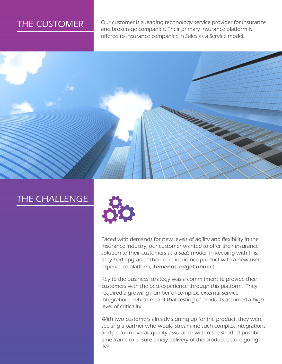# THE CUSTOMER

Our customer is a leading technology service provider for insurance and brokerage companies. Their primary insurance platform is offered to insurance companies in Sales as a Service model.



### THE CHALLENGE



Faced with demands for new levels of agility and flexibility in the insurance industry, our customer wanted to offer their insurance solution to their customers as a SaaS model. In keeping with this, they had upgraded their core insurance product with a new user experience platform, Temenos' edgeConnect.

Key to the business' strategy was a commitment to provide their customers with the best experience through this platform. They required a growing number of complex, external service integrations, which meant that testing of products assumed a high level of criticality.

With two customers already signing up for the product, they were seeking a partner who would streamline such complex integrations and perform overall quality assurance within the shortest possible time frame to ensure timely delivery of the product before going live.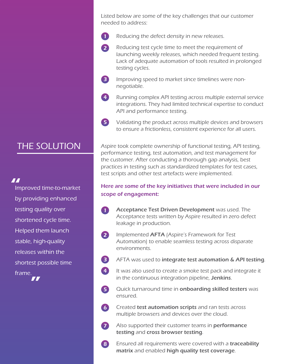Listed below are some of the key challenges that our customer needed to address:

 $\mathbf 0$ Reducing the defect density in new releases.

2 Reducing test cycle time to meet the requirement of launching weekly releases, which needed frequent testing. Lack of adequate automation of tools resulted in prolonged testing cycles.

Improving speed to market since timelines were nonnegotiable.

3

6

7

- Running complex API testing across multiple external service integrations. They had limited technical expertise to conduct API and performance testing. 4
- Validating the product across multiple devices and browsers to ensure a frictionless, consistent experience for all users. 5

Aspire took complete ownership of functional testing, API testing, performance testing, test automation, and test management for the customer. After conducting a thorough gap analysis, best practices in testing such as standardized templates for test cases, test scripts and other test artefacts were implemented.

#### Here are some of the key initiatives that were included in our scope of engagement:

- Acceptance Test Driven Development was used. The O Acceptance tests written by Aspire resulted in zero defect leakage in production.
- 2 Implemented AFTA (Aspire's Framework for Test Automation) to enable seamless testing across disparate environments.
- AFTA was used to integrate test automation & API testing. 3
- It was also used to create a smoke test pack and integrate it in the continuous integration pipeline, Jenkins. 4
- Quick turnaround time in **onboarding skilled testers** was ensured. 5
	- Created test automation scripts and ran tests across multiple browsers and devices over the cloud.
	- Also supported their customer teams in **performance** testing and cross browser testing.
- Ensured all requirements were covered with a traceability matrix and enabled high quality test coverage. 8

## THE SOLUTION

#### 77

Improved time-to-market by providing enhanced testing quality over shortened cycle time. Helped them launch stable, high-quality releases within the shortest possible time frame.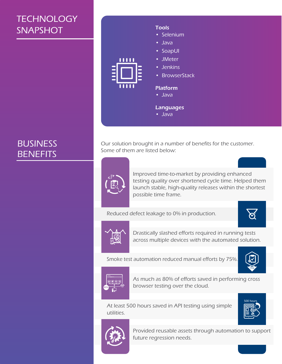# **TECHNOLOGY SNAPSHOT**

# BUSINESS **BENEFITS**

**Tools** • Selenium • Java • SoapUI • JMeter 11111 • Jenkins • BrowserStack Platform • Java **Languages** 

• Java

Our solution brought in a number of benefits for the customer. Some of them are listed below:



Improved time-to-market by providing enhanced testing quality over shortened cycle time. Helped them launch stable, high-quality releases within the shortest possible time frame.

Reduced defect leakage to 0% in production.





Drastically slashed efforts required in running tests across multiple devices with the automated solution.

Smoke test automation reduced manual efforts by 75%.





As much as 80% of efforts saved in performing cross browser testing over the cloud.

At least 500 hours saved in API testing using simple utilities.





Provided reusable assets through automation to support future regression needs.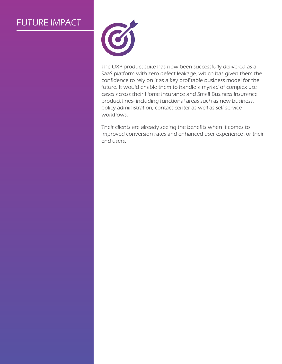# FUTURE IMPACT



The UXP product suite has now been successfully delivered as a SaaS platform with zero defect leakage, which has given them the confidence to rely on it as a key profitable business model for the future. It would enable them to handle a myriad of complex use cases across their Home Insurance and Small Business Insurance product lines- including functional areas such as new business, policy administration, contact center as well as self-service workflows.

Their clients are already seeing the benefits when it comes to improved conversion rates and enhanced user experience for their end users.